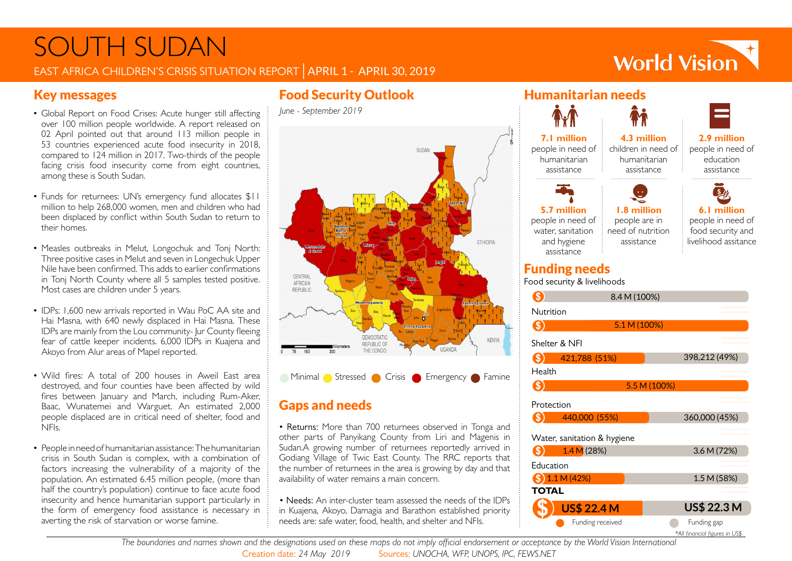# SOUTH SUDAN EAST AFRICA CHILDREN'S CRISIS SITUATION REPORT | APRIL 1 - APRIL 30, 2019

# **World Vision**

- Global Report on Food Crises: Acute hunger still affecting  $\frac{1}{2}$  June September 2019 over 100 million people worldwide. A report released on 02 April pointed out that around 113 million people in 53 countries experienced acute food insecurity in 2018, compared to 124 million in 2017. Two-thirds of the people facing crisis food insecurity come from eight countries, among these is South Sudan.
- Funds for returnees: UN's emergency fund allocates \$11 million to help 268,000 women, men and children who had been displaced by conflict within South Sudan to return to their homes.
- Measles outbreaks in Melut, Longochuk and Tonj North: Three positive cases in Melut and seven in Longechuk Upper Nile have been confirmed. This adds to earlier confirmations in Tonj North County where all 5 samples tested positive. Most cases are children under 5 years.
- IDPs: 1,600 new arrivals reported in Wau PoC AA site and Hai Masna, with 640 newly displaced in Hai Masna. These IDPs are mainly from the Lou community- Jur County fleeing fear of cattle keeper incidents. 6,000 IDPs in Kuajena and Akoyo from Alur areas of Mapel reported.
- Wild fires: A total of 200 houses in Aweil East area destroyed, and four counties have been affected by wild fires between January and March, including Rum-Aker, Baac, Wunatemei and Warguet. An estimated 2,000 people displaced are in critical need of shelter, food and NFIs.
- People in need of humanitarian assistance: The humanitarian crisis in South Sudan is complex, with a combination of factors increasing the vulnerability of a majority of the population. An estimated 6.45 million people, (more than half the country's population) continue to face acute food insecurity and hence humanitarian support particularly in the form of emergency food assistance is necessary in averting the risk of starvation or worse famine.

# Key messages Food Security Outlook



# Gaps and needs

• Returns: More than 700 returnees observed in Tonga and other parts of Panyikang County from Liri and Magenis in Sudan.A growing number of returnees reportedly arrived in Godiang Village of Twic East County. The RRC reports that the number of returnees in the area is growing by day and that availability of water remains a main concern.

• Needs: An inter-cluster team assessed the needs of the IDPs in Kuajena, Akoyo, Damagia and Barathon established priority needs are: safe water, food, health, and shelter and NFIs.



Food security & livelihoods

|                             | 8.4 M (100%)       |                                               |
|-----------------------------|--------------------|-----------------------------------------------|
| Nutrition                   |                    | <br>.                                         |
|                             | 5.1 M (100%)       |                                               |
| Shelter & NFI               |                    | .<br>.                                        |
|                             | 421,788 (51%)      | 398,212 (49%)                                 |
| Health                      |                    | .<br>                                         |
|                             |                    | 5.5 M (100%)                                  |
| Protection                  |                    | .<br>.                                        |
|                             | 440,000 (55%)      | 360,000 (45%)                                 |
| Water, sanitation & hygiene |                    | .<br>.                                        |
|                             | 1.4 M(28%)         | 3.6 M (72%)                                   |
| Education                   |                    | .                                             |
|                             | 1.1 M(42%)         | 1.5 M (58%)                                   |
| TOTAL                       |                    |                                               |
|                             | <b>US\$ 22.4 M</b> | <b>US\$ 22.3 M</b>                            |
|                             | Funding received   | Funding gap<br>*All financial figures in US\$ |

*The boundaries and names shown and the designations used on these maps do not imply official endorsement or acceptance by the World Vision International* Creation date: *24 May 2019* Sources: *UNOCHA, WFP, UNOPS, IPC, FEWS.NET*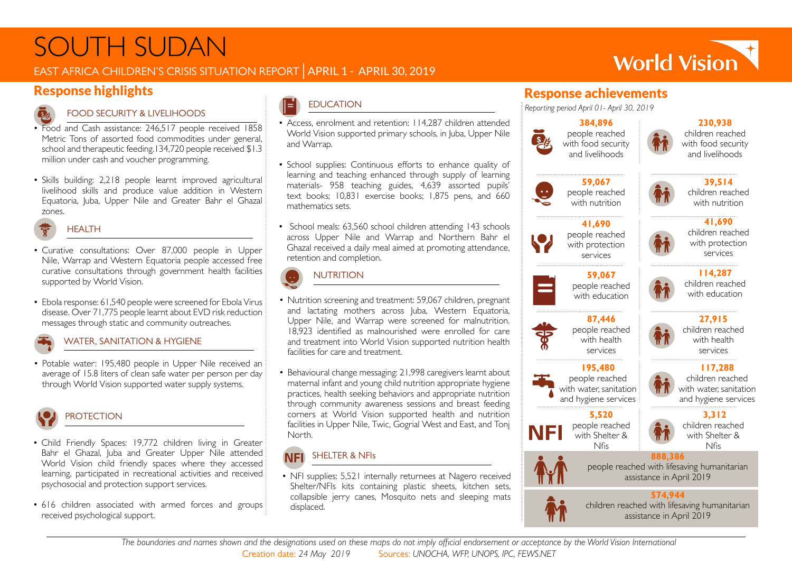# SOUTH SUDAN

Response highlights

### EAST AFRICA CHILDREN'S CRISIS SITUATION REPORT | APRIL 1 - APRIL 30, 2019



#### FOOD SECURITY & LIVELIHOODS

- Food and Cash assistance: 246,517 people received 1858 Metric Tons of assorted food commodities under general, school and therapeutic feeding.134,720 people received \$1.3 million under cash and voucher programming.
- Skills building: 2,218 people learnt improved agricultural livelihood skills and produce value addition in Western Equatoria, Juba, Upper Nile and Greater Bahr el Ghazal zones.



- Curative consultations: Over 87,000 people in Upper Nile, Warrap and Western Equatoria people accessed free curative consultations through government health facilities supported by World Vision.
- Ebola response: 61,540 people were screened for Ebola Virus disease. Over 71,775 people learnt about EVD risk reduction messages through static and community outreaches.

#### WATER, SANITATION & HYGIENE

• Potable water: 195,480 people in Upper Nile received an average of 15.8 liters of clean safe water per person per day through World Vision supported water supply systems.



## **PROTECTION**

- Child Friendly Spaces: 19,772 children living in Greater Bahr el Ghazal, Juba and Greater Upper Nile attended World Vision child friendly spaces where they accessed learning, participated in recreational activities and received psychosocial and protection support services.
- 616 children associated with armed forces and groups received psychological support.

### *Reporting period April 01- April 30, 2019* EDUCATION

- Access, enrolment and retention: 114,287 children attended World Vision supported primary schools, in Juba, Upper Nile and Warrap.
- School supplies: Continuous efforts to enhance quality of learning and teaching enhanced through supply of learning materials- 958 teaching guides, 4,639 assorted pupils' text books; 10,831 exercise books; 1,875 pens, and 660 mathematics sets.
- School meals: 63,560 school children attending 143 schools across Upper Nile and Warrap and Northern Bahr el Ghazal received a daily meal aimed at promoting attendance, retention and completion.
- Nutrition screening and treatment: 59,067 children, pregnant and lactating mothers across Juba, Western Equatoria, Upper Nile, and Warrap were screened for malnutrition. 18,923 identified as malnourished were enrolled for care and treatment into World Vision supported nutrition health facilities for care and treatment. **NUTRITION**
- Behavioural change messaging: 21,998 caregivers learnt about maternal infant and young child nutrition appropriate hygiene practices, health seeking behaviors and appropriate nutrition through community awareness sessions and breast feeding corners at World Vision supported health and nutrition facilities in Upper Nile, Twic, Gogrial West and East, and Tonj North.

#### SHELTER & NFIs **NFI**

• NFI supplies: 5,521 internally returnees at Nagero received Shelter/NFIs kits containing plastic sheets, kitchen sets, collapsible jerry canes, Mosquito nets and sleeping mats displaced.

### Response achievements







with food security and livelihoods

**230,938**



**59,067** people reached with nutrition

**41,690** people reached with protection

**87,446** people reached with health services **195,480** people reached with water, sanitation and hygiene services **5,520** people reached with Shelter & Nfis



**41,690** children reached with protection services

World Vision



**114,287** children reached with education



children reached with health services

#### **117,288**



 **3,312** children reached

with Shelter & Nfis



NFI

people reached with lifesaving humanitarian assistance in April 2019 **574,944**

**888,386**



children reached with lifesaving humanitarian assistance in April 2019